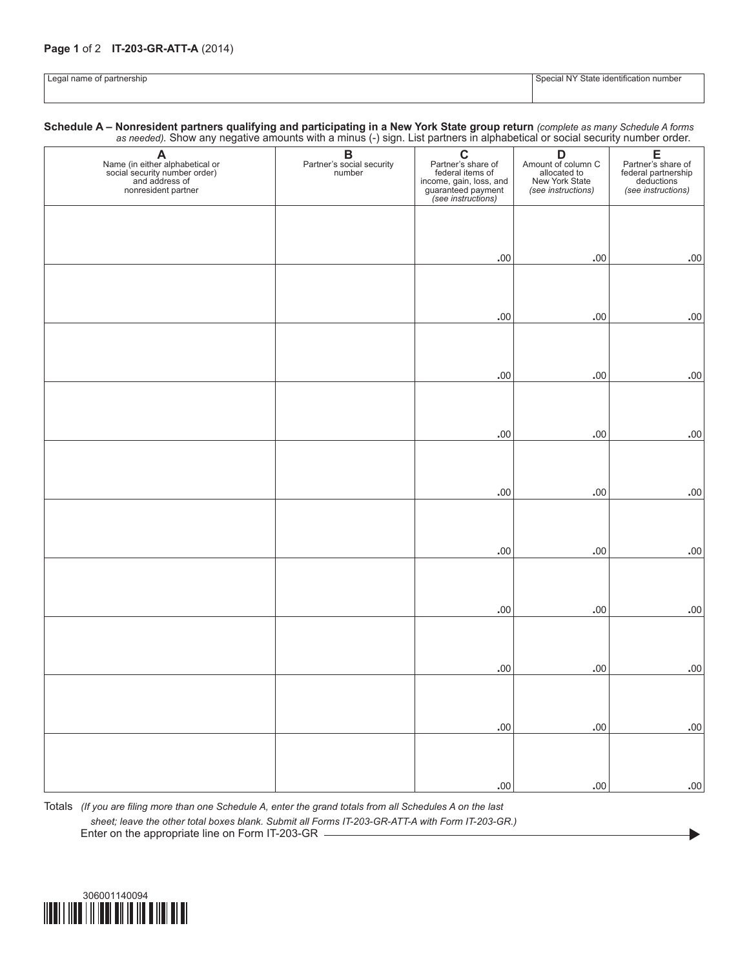## **Page 1** of 2 **IT-203-GR-ATT-A** (2014)

| $\sim$<br>ап. | cation<br>10 T C<br>' numbe<br>งเศเข<br>$\sim$<br>. . <del>. .</del> |
|---------------|----------------------------------------------------------------------|
|               |                                                                      |

**Schedule A – Nonresident partners qualifying and participating in a New York State group return** *(complete as many Schedule A forms as needed).* Show any negative amounts with a minus (-) sign. List partners in alphabetical or social security number order.

| as necada). Show any negative amounts with a minute () sign. Electrations in alphabetical or social security namber order.                                                                                                           |                                                 |                                                                                                                           |                                                                                 |                                                                                    |  |
|--------------------------------------------------------------------------------------------------------------------------------------------------------------------------------------------------------------------------------------|-------------------------------------------------|---------------------------------------------------------------------------------------------------------------------------|---------------------------------------------------------------------------------|------------------------------------------------------------------------------------|--|
| A<br>Name (in either alphabetical or<br>social security number order)<br>and address of<br>and social security<br>and social security<br>and social security<br>and social security<br>and solve the security<br>nonresident partner | <b>B</b><br>Partner's social security<br>number | <b>C</b><br>Partner's share of<br>federal items of<br>income, gain, loss, and<br>guaranteed payment<br>(see instructions) | D<br>Amount of column C<br>allocated to<br>New York State<br>(see instructions) | E<br>Partner's share of<br>federal partnership<br>deductions<br>(see instructions) |  |
|                                                                                                                                                                                                                                      |                                                 |                                                                                                                           |                                                                                 |                                                                                    |  |
|                                                                                                                                                                                                                                      |                                                 |                                                                                                                           |                                                                                 |                                                                                    |  |
|                                                                                                                                                                                                                                      |                                                 | $.00 \,$                                                                                                                  | $.00$                                                                           | $.00 \,$                                                                           |  |
|                                                                                                                                                                                                                                      |                                                 |                                                                                                                           |                                                                                 |                                                                                    |  |
|                                                                                                                                                                                                                                      |                                                 | $.00 \,$                                                                                                                  | $.00 \,$                                                                        | $.00 \,$                                                                           |  |
|                                                                                                                                                                                                                                      |                                                 |                                                                                                                           |                                                                                 |                                                                                    |  |
|                                                                                                                                                                                                                                      |                                                 |                                                                                                                           |                                                                                 |                                                                                    |  |
|                                                                                                                                                                                                                                      |                                                 | $.00 \,$                                                                                                                  | $.00 \,$                                                                        | $.00 \,$                                                                           |  |
|                                                                                                                                                                                                                                      |                                                 |                                                                                                                           |                                                                                 |                                                                                    |  |
|                                                                                                                                                                                                                                      |                                                 | $.00 \,$                                                                                                                  | $.00 \,$                                                                        | $.00 \,$                                                                           |  |
|                                                                                                                                                                                                                                      |                                                 |                                                                                                                           |                                                                                 |                                                                                    |  |
|                                                                                                                                                                                                                                      |                                                 |                                                                                                                           |                                                                                 |                                                                                    |  |
|                                                                                                                                                                                                                                      |                                                 | $.00 \,$                                                                                                                  | $.00 \,$                                                                        | $.00 \,$                                                                           |  |
|                                                                                                                                                                                                                                      |                                                 |                                                                                                                           |                                                                                 |                                                                                    |  |
|                                                                                                                                                                                                                                      |                                                 |                                                                                                                           |                                                                                 |                                                                                    |  |
|                                                                                                                                                                                                                                      |                                                 | $.00 \,$                                                                                                                  | $.00 \,$                                                                        | $.00 \,$                                                                           |  |
|                                                                                                                                                                                                                                      |                                                 |                                                                                                                           |                                                                                 |                                                                                    |  |
|                                                                                                                                                                                                                                      |                                                 | $.00 \,$                                                                                                                  | $.00 \,$                                                                        | $.00 \,$                                                                           |  |
|                                                                                                                                                                                                                                      |                                                 |                                                                                                                           |                                                                                 |                                                                                    |  |
|                                                                                                                                                                                                                                      |                                                 |                                                                                                                           |                                                                                 |                                                                                    |  |
|                                                                                                                                                                                                                                      |                                                 | $.00 \,$                                                                                                                  | $.00 \,$                                                                        | $.00 \,$                                                                           |  |
|                                                                                                                                                                                                                                      |                                                 |                                                                                                                           |                                                                                 |                                                                                    |  |
|                                                                                                                                                                                                                                      |                                                 | $.00 \,$                                                                                                                  | $.00 \,$                                                                        | $\boldsymbol{.00}$                                                                 |  |
|                                                                                                                                                                                                                                      |                                                 |                                                                                                                           |                                                                                 |                                                                                    |  |
|                                                                                                                                                                                                                                      |                                                 |                                                                                                                           |                                                                                 |                                                                                    |  |
|                                                                                                                                                                                                                                      |                                                 | $.00 \,$                                                                                                                  | $.00 \,$                                                                        | $.00 \,$                                                                           |  |

 $\blacktriangleright$ 

Totals *(If you are filing more than one Schedule A, enter the grand totals from all Schedules A on the last sheet; leave the other total boxes blank. Submit all Forms IT-203-GR-ATT-A with Form IT-203-GR.)* Enter on the appropriate line on Form IT-203-GR